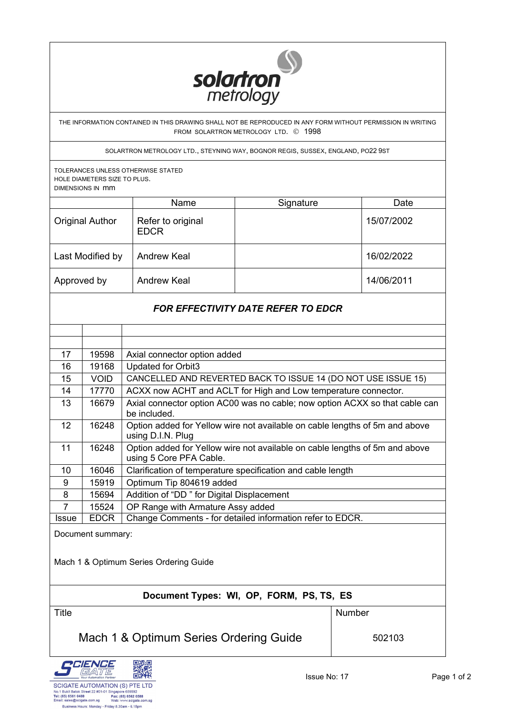

THE INFORMATION CONTAINED IN THIS DRAWING SHALL NOT BE REPRODUCED IN ANY FORM WITHOUT PERMISSION IN WRITING FROM SOLARTRON METROLOGY LTD. © 1998

SOLARTRON METROLOGY LTD., STEYNING WAY, BOGNOR REGIS, SUSSEX, ENGLAND, PO22 9ST

TOLERANCES UNLESS OTHERWISE STATED HOLE DIAMETERS SIZE TO PLUS. DIMENSIONS IN mm

|                        | <b>Name</b>                      | Signature | Date       |
|------------------------|----------------------------------|-----------|------------|
| <b>Original Author</b> | Refer to original<br><b>EDCR</b> |           | 15/07/2002 |
| Last Modified by       | <b>Andrew Keal</b>               |           | 16/02/2022 |
| Approved by            | <b>Andrew Keal</b>               |           | 14/06/2011 |

# *FOR EFFECTIVITY DATE REFER TO EDCR*

| 17              | 19598       | Axial connector option added                                                                           |  |
|-----------------|-------------|--------------------------------------------------------------------------------------------------------|--|
| 16              | 19168       | Updated for Orbit3                                                                                     |  |
| 15              | <b>VOID</b> | CANCELLED AND REVERTED BACK TO ISSUE 14 (DO NOT USE ISSUE 15)                                          |  |
| 14              | 17770       | ACXX now ACHT and ACLT for High and Low temperature connector.                                         |  |
| 13              | 16679       | Axial connector option AC00 was no cable; now option ACXX so that cable can<br>be included.            |  |
| 12 <sup>°</sup> | 16248       | Option added for Yellow wire not available on cable lengths of 5m and above<br>using D.I.N. Plug       |  |
| 11              | 16248       | Option added for Yellow wire not available on cable lengths of 5m and above<br>using 5 Core PFA Cable. |  |
| 10              | 16046       | Clarification of temperature specification and cable length                                            |  |
| 9               | 15919       | Optimum Tip 804619 added                                                                               |  |
| 8               | 15694       | Addition of "DD" for Digital Displacement                                                              |  |
| $\overline{7}$  | 15524       | OP Range with Armature Assy added                                                                      |  |
| <b>Issue</b>    | <b>EDCR</b> | Change Comments - for detailed information refer to EDCR.                                              |  |

Document summary:

Mach 1 & Optimum Series Ordering Guide

## **Document Types: WI, OP, FORM, PS, TS, ES**

Title **Number** Number

Mach 1 & Optimum Series Ordering Guide | 502103